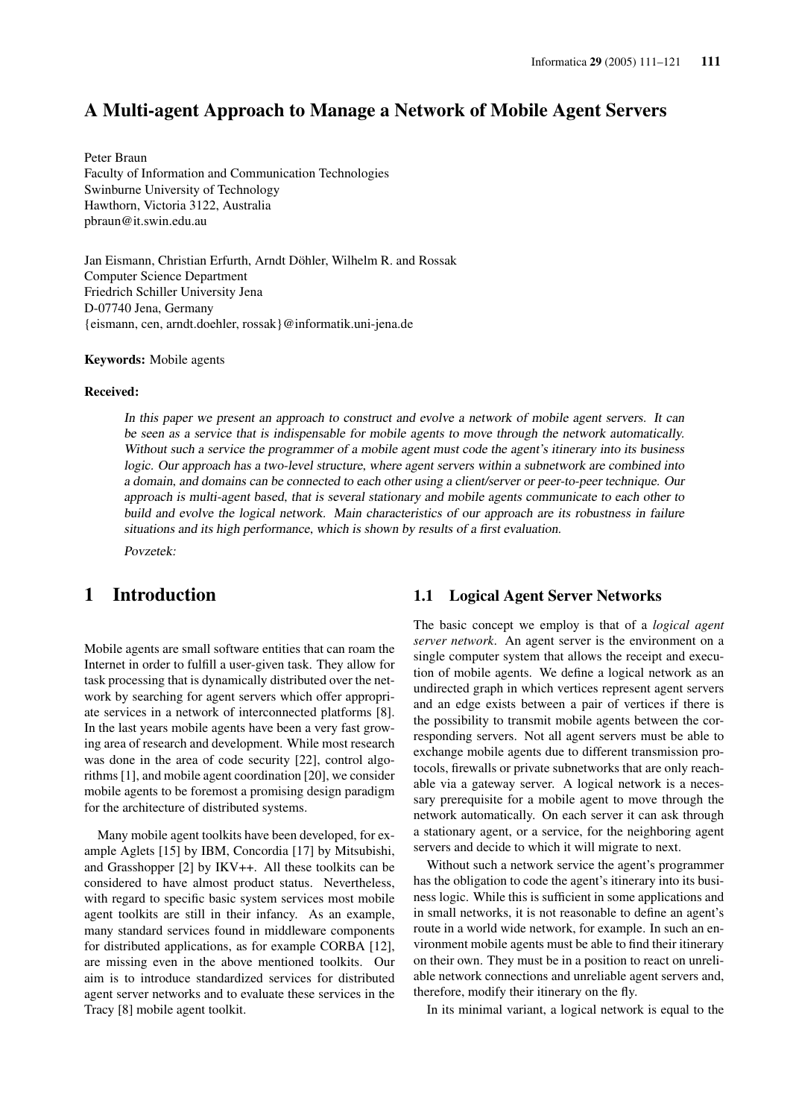### A Multi-agent Approach to Manage a Network of Mobile Agent Servers

Peter Braun Faculty of Information and Communication Technologies Swinburne University of Technology Hawthorn, Victoria 3122, Australia pbraun@it.swin.edu.au

Jan Eismann, Christian Erfurth, Arndt Döhler, Wilhelm R. and Rossak Computer Science Department Friedrich Schiller University Jena D-07740 Jena, Germany {eismann, cen, arndt.doehler, rossak}@informatik.uni-jena.de

#### Keywords: Mobile agents

#### Received:

In this paper we present an approach to construct and evolve <sup>a</sup> network of mobile agent servers. It can be seen as <sup>a</sup> service that is indispensable for mobile agents to move through the network automatically. Without such a service the programmer of a mobile agent must code the agent's itinerary into its business logic. Our approach has <sup>a</sup> two-level structure, where agent servers within <sup>a</sup> subnetwork are combined into <sup>a</sup> domain, and domains can be connected to each other using <sup>a</sup> client/server or peer-to-peer technique. Our approach is multi-agent based, that is several stationary and mobile agents communicate to each other to build and evolve the logical network. Main characteristics of our approach are its robustness in failure situations and its high performance, which is shown by results of <sup>a</sup> first evaluation.

Povzetek:

### 1 Introduction

Mobile agents are small software entities that can roam the Internet in order to fulfill a user-given task. They allow for task processing that is dynamically distributed over the network by searching for agent servers which offer appropriate services in a network of interconnected platforms [8]. In the last years mobile agents have been a very fast growing area of research and development. While most research was done in the area of code security [22], control algorithms [1], and mobile agent coordination [20], we consider mobile agents to be foremost a promising design paradigm for the architecture of distributed systems.

Many mobile agent toolkits have been developed, for example Aglets [15] by IBM, Concordia [17] by Mitsubishi, and Grasshopper [2] by IKV++. All these toolkits can be considered to have almost product status. Nevertheless, with regard to specific basic system services most mobile agent toolkits are still in their infancy. As an example, many standard services found in middleware components for distributed applications, as for example CORBA [12], are missing even in the above mentioned toolkits. Our aim is to introduce standardized services for distributed agent server networks and to evaluate these services in the Tracy [8] mobile agent toolkit.

#### 1.1 Logical Agent Server Networks

The basic concept we employ is that of a *logical agent server network*. An agent server is the environment on a single computer system that allows the receipt and execution of mobile agents. We define a logical network as an undirected graph in which vertices represent agent servers and an edge exists between a pair of vertices if there is the possibility to transmit mobile agents between the corresponding servers. Not all agent servers must be able to exchange mobile agents due to different transmission protocols, firewalls or private subnetworks that are only reachable via a gateway server. A logical network is a necessary prerequisite for a mobile agent to move through the network automatically. On each server it can ask through a stationary agent, or a service, for the neighboring agent servers and decide to which it will migrate to next.

Without such a network service the agent's programmer has the obligation to code the agent's itinerary into its business logic. While this is sufficient in some applications and in small networks, it is not reasonable to define an agent's route in a world wide network, for example. In such an environment mobile agents must be able to find their itinerary on their own. They must be in a position to react on unreliable network connections and unreliable agent servers and, therefore, modify their itinerary on the fly.

In its minimal variant, a logical network is equal to the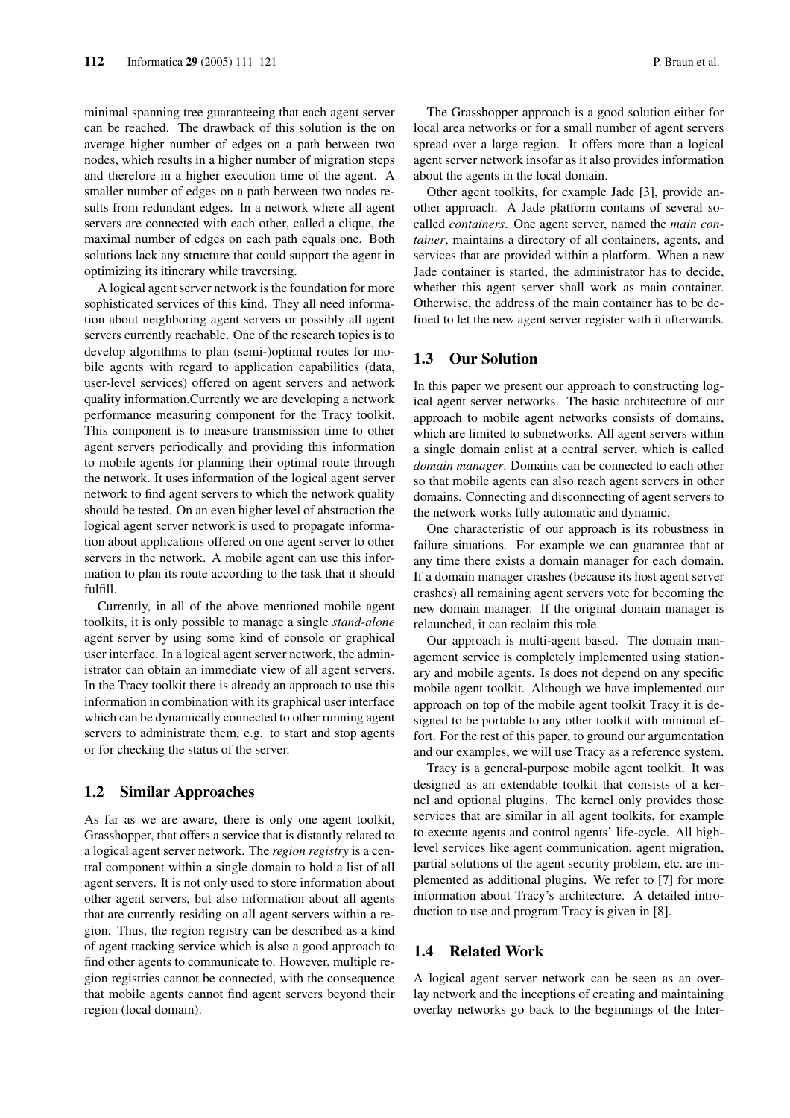minimal spanning tree guaranteeing that each agent server can be reached. The drawback of this solution is the on average higher number of edges on a path between two nodes, which results in a higher number of migration steps and therefore in a higher execution time of the agent. A smaller number of edges on a path between two nodes results from redundant edges. In a network where all agent servers are connected with each other, called a clique, the maximal number of edges on each path equals one. Both solutions lack any structure that could support the agent in optimizing its itinerary while traversing.

A logical agent server network is the foundation for more sophisticated services of this kind. They all need information about neighboring agent servers or possibly all agent servers currently reachable. One of the research topics is to develop algorithms to plan (semi-)optimal routes for mobile agents with regard to application capabilities (data, user-level services) offered on agent servers and network quality information.Currently we are developing a network performance measuring component for the Tracy toolkit. This component is to measure transmission time to other agent servers periodically and providing this information to mobile agents for planning their optimal route through the network. It uses information of the logical agent server network to find agent servers to which the network quality should be tested. On an even higher level of abstraction the logical agent server network is used to propagate information about applications offered on one agent server to other servers in the network. A mobile agent can use this information to plan its route according to the task that it should fulfill.

Currently, in all of the above mentioned mobile agent toolkits, it is only possible to manage a single *stand-alone* agent server by using some kind of console or graphical user interface. In a logical agent server network, the administrator can obtain an immediate view of all agent servers. In the Tracy toolkit there is already an approach to use this information in combination with its graphical user interface which can be dynamically connected to other running agent servers to administrate them, e.g. to start and stop agents or for checking the status of the server.

### 1.2 Similar Approaches

As far as we are aware, there is only one agent toolkit, Grasshopper, that offers a service that is distantly related to a logical agent server network. The *region registry* is a central component within a single domain to hold a list of all agent servers. It is not only used to store information about other agent servers, but also information about all agents that are currently residing on all agent servers within a region. Thus, the region registry can be described as a kind of agent tracking service which is also a good approach to find other agents to communicate to. However, multiple region registries cannot be connected, with the consequence that mobile agents cannot find agent servers beyond their region (local domain).

The Grasshopper approach is a good solution either for local area networks or for a small number of agent servers spread over a large region. It offers more than a logical agent server network insofar as it also provides information about the agents in the local domain.

Other agent toolkits, for example Jade [3], provide another approach. A Jade platform contains of several socalled *containers*. One agent server, named the *main container*, maintains a directory of all containers, agents, and services that are provided within a platform. When a new Jade container is started, the administrator has to decide, whether this agent server shall work as main container. Otherwise, the address of the main container has to be defined to let the new agent server register with it afterwards.

### 1.3 Our Solution

In this paper we present our approach to constructing logical agent server networks. The basic architecture of our approach to mobile agent networks consists of domains, which are limited to subnetworks. All agent servers within a single domain enlist at a central server, which is called *domain manager*. Domains can be connected to each other so that mobile agents can also reach agent servers in other domains. Connecting and disconnecting of agent servers to the network works fully automatic and dynamic.

One characteristic of our approach is its robustness in failure situations. For example we can guarantee that at any time there exists a domain manager for each domain. If a domain manager crashes (because its host agent server crashes) all remaining agent servers vote for becoming the new domain manager. If the original domain manager is relaunched, it can reclaim this role.

Our approach is multi-agent based. The domain management service is completely implemented using stationary and mobile agents. Is does not depend on any specific mobile agent toolkit. Although we have implemented our approach on top of the mobile agent toolkit Tracy it is designed to be portable to any other toolkit with minimal effort. For the rest of this paper, to ground our argumentation and our examples, we will use Tracy as a reference system.

Tracy is a general-purpose mobile agent toolkit. It was designed as an extendable toolkit that consists of a kernel and optional plugins. The kernel only provides those services that are similar in all agent toolkits, for example to execute agents and control agents' life-cycle. All highlevel services like agent communication, agent migration, partial solutions of the agent security problem, etc. are implemented as additional plugins. We refer to [7] for more information about Tracy's architecture. A detailed introduction to use and program Tracy is given in [8].

### 1.4 Related Work

A logical agent server network can be seen as an overlay network and the inceptions of creating and maintaining overlay networks go back to the beginnings of the Inter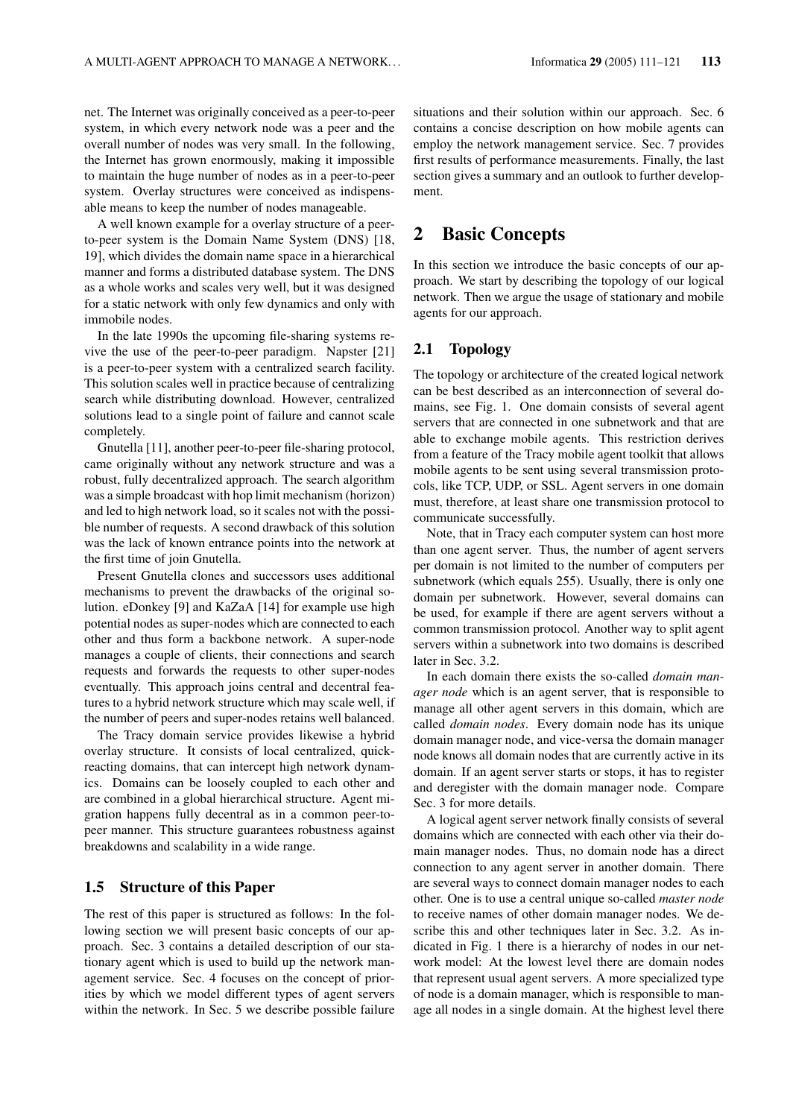net. The Internet was originally conceived as a peer-to-peer system, in which every network node was a peer and the overall number of nodes was very small. In the following, the Internet has grown enormously, making it impossible to maintain the huge number of nodes as in a peer-to-peer system. Overlay structures were conceived as indispensable means to keep the number of nodes manageable.

A well known example for a overlay structure of a peerto-peer system is the Domain Name System (DNS) [18, 19], which divides the domain name space in a hierarchical manner and forms a distributed database system. The DNS as a whole works and scales very well, but it was designed for a static network with only few dynamics and only with immobile nodes.

In the late 1990s the upcoming file-sharing systems revive the use of the peer-to-peer paradigm. Napster [21] is a peer-to-peer system with a centralized search facility. This solution scales well in practice because of centralizing search while distributing download. However, centralized solutions lead to a single point of failure and cannot scale completely.

Gnutella [11], another peer-to-peer file-sharing protocol, came originally without any network structure and was a robust, fully decentralized approach. The search algorithm was a simple broadcast with hop limit mechanism (horizon) and led to high network load, so it scales not with the possible number of requests. A second drawback of this solution was the lack of known entrance points into the network at the first time of join Gnutella.

Present Gnutella clones and successors uses additional mechanisms to prevent the drawbacks of the original solution. eDonkey [9] and KaZaA [14] for example use high potential nodes as super-nodes which are connected to each other and thus form a backbone network. A super-node manages a couple of clients, their connections and search requests and forwards the requests to other super-nodes eventually. This approach joins central and decentral features to a hybrid network structure which may scale well, if the number of peers and super-nodes retains well balanced.

The Tracy domain service provides likewise a hybrid overlay structure. It consists of local centralized, quickreacting domains, that can intercept high network dynamics. Domains can be loosely coupled to each other and are combined in a global hierarchical structure. Agent migration happens fully decentral as in a common peer-topeer manner. This structure guarantees robustness against breakdowns and scalability in a wide range.

#### 1.5 Structure of this Paper

The rest of this paper is structured as follows: In the following section we will present basic concepts of our approach. Sec. 3 contains a detailed description of our stationary agent which is used to build up the network management service. Sec. 4 focuses on the concept of priorities by which we model different types of agent servers within the network. In Sec. 5 we describe possible failure situations and their solution within our approach. Sec. 6 contains a concise description on how mobile agents can employ the network management service. Sec. 7 provides first results of performance measurements. Finally, the last section gives a summary and an outlook to further development.

### 2 Basic Concepts

In this section we introduce the basic concepts of our approach. We start by describing the topology of our logical network. Then we argue the usage of stationary and mobile agents for our approach.

#### 2.1 Topology

The topology or architecture of the created logical network can be best described as an interconnection of several domains, see Fig. 1. One domain consists of several agent servers that are connected in one subnetwork and that are able to exchange mobile agents. This restriction derives from a feature of the Tracy mobile agent toolkit that allows mobile agents to be sent using several transmission protocols, like TCP, UDP, or SSL. Agent servers in one domain must, therefore, at least share one transmission protocol to communicate successfully.

Note, that in Tracy each computer system can host more than one agent server. Thus, the number of agent servers per domain is not limited to the number of computers per subnetwork (which equals 255). Usually, there is only one domain per subnetwork. However, several domains can be used, for example if there are agent servers without a common transmission protocol. Another way to split agent servers within a subnetwork into two domains is described later in Sec. 3.2.

In each domain there exists the so-called *domain manager node* which is an agent server, that is responsible to manage all other agent servers in this domain, which are called *domain nodes*. Every domain node has its unique domain manager node, and vice-versa the domain manager node knows all domain nodes that are currently active in its domain. If an agent server starts or stops, it has to register and deregister with the domain manager node. Compare Sec. 3 for more details.

A logical agent server network finally consists of several domains which are connected with each other via their domain manager nodes. Thus, no domain node has a direct connection to any agent server in another domain. There are several ways to connect domain manager nodes to each other. One is to use a central unique so-called *master node* to receive names of other domain manager nodes. We describe this and other techniques later in Sec. 3.2. As indicated in Fig. 1 there is a hierarchy of nodes in our network model: At the lowest level there are domain nodes that represent usual agent servers. A more specialized type of node is a domain manager, which is responsible to manage all nodes in a single domain. At the highest level there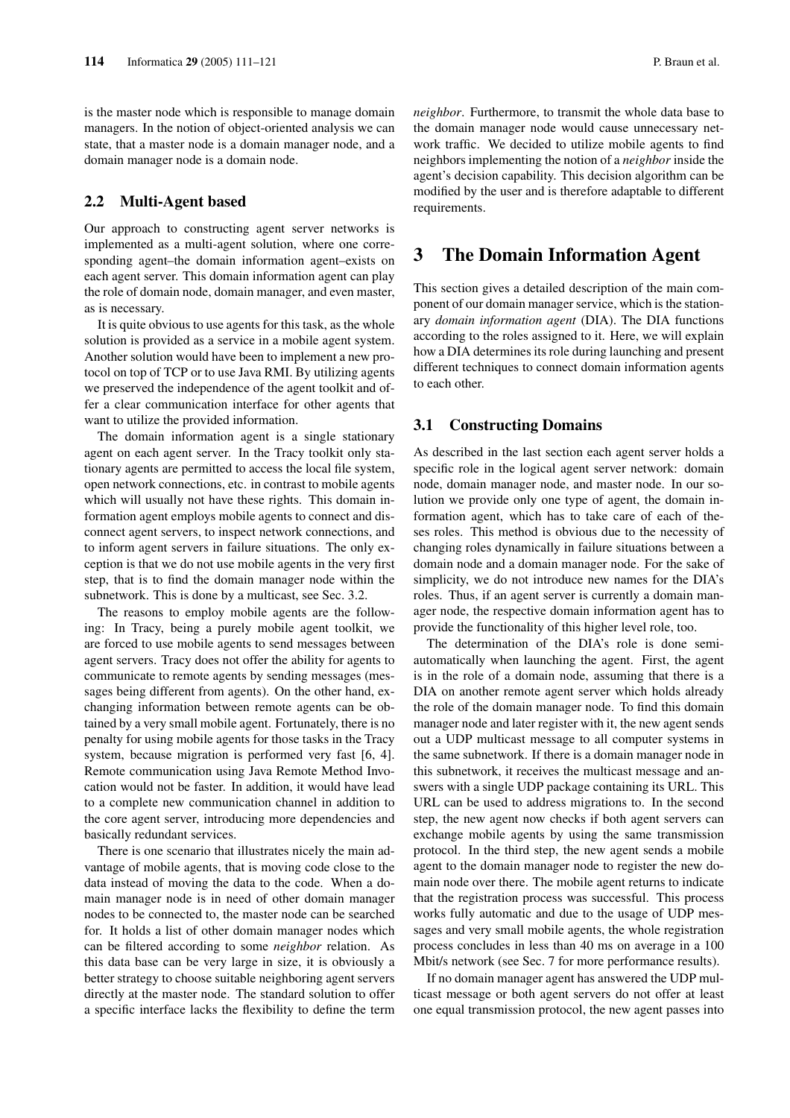is the master node which is responsible to manage domain managers. In the notion of object-oriented analysis we can state, that a master node is a domain manager node, and a domain manager node is a domain node.

### 2.2 Multi-Agent based

Our approach to constructing agent server networks is implemented as a multi-agent solution, where one corresponding agent–the domain information agent–exists on each agent server. This domain information agent can play the role of domain node, domain manager, and even master, as is necessary.

It is quite obvious to use agents for this task, as the whole solution is provided as a service in a mobile agent system. Another solution would have been to implement a new protocol on top of TCP or to use Java RMI. By utilizing agents we preserved the independence of the agent toolkit and offer a clear communication interface for other agents that want to utilize the provided information.

The domain information agent is a single stationary agent on each agent server. In the Tracy toolkit only stationary agents are permitted to access the local file system, open network connections, etc. in contrast to mobile agents which will usually not have these rights. This domain information agent employs mobile agents to connect and disconnect agent servers, to inspect network connections, and to inform agent servers in failure situations. The only exception is that we do not use mobile agents in the very first step, that is to find the domain manager node within the subnetwork. This is done by a multicast, see Sec. 3.2.

The reasons to employ mobile agents are the following: In Tracy, being a purely mobile agent toolkit, we are forced to use mobile agents to send messages between agent servers. Tracy does not offer the ability for agents to communicate to remote agents by sending messages (messages being different from agents). On the other hand, exchanging information between remote agents can be obtained by a very small mobile agent. Fortunately, there is no penalty for using mobile agents for those tasks in the Tracy system, because migration is performed very fast [6, 4]. Remote communication using Java Remote Method Invocation would not be faster. In addition, it would have lead to a complete new communication channel in addition to the core agent server, introducing more dependencies and basically redundant services.

There is one scenario that illustrates nicely the main advantage of mobile agents, that is moving code close to the data instead of moving the data to the code. When a domain manager node is in need of other domain manager nodes to be connected to, the master node can be searched for. It holds a list of other domain manager nodes which can be filtered according to some *neighbor* relation. As this data base can be very large in size, it is obviously a better strategy to choose suitable neighboring agent servers directly at the master node. The standard solution to offer a specific interface lacks the flexibility to define the term *neighbor*. Furthermore, to transmit the whole data base to the domain manager node would cause unnecessary network traffic. We decided to utilize mobile agents to find neighbors implementing the notion of a *neighbor* inside the agent's decision capability. This decision algorithm can be modified by the user and is therefore adaptable to different requirements.

### 3 The Domain Information Agent

This section gives a detailed description of the main component of our domain manager service, which is the stationary *domain information agent* (DIA). The DIA functions according to the roles assigned to it. Here, we will explain how a DIA determines its role during launching and present different techniques to connect domain information agents to each other.

#### 3.1 Constructing Domains

As described in the last section each agent server holds a specific role in the logical agent server network: domain node, domain manager node, and master node. In our solution we provide only one type of agent, the domain information agent, which has to take care of each of theses roles. This method is obvious due to the necessity of changing roles dynamically in failure situations between a domain node and a domain manager node. For the sake of simplicity, we do not introduce new names for the DIA's roles. Thus, if an agent server is currently a domain manager node, the respective domain information agent has to provide the functionality of this higher level role, too.

The determination of the DIA's role is done semiautomatically when launching the agent. First, the agent is in the role of a domain node, assuming that there is a DIA on another remote agent server which holds already the role of the domain manager node. To find this domain manager node and later register with it, the new agent sends out a UDP multicast message to all computer systems in the same subnetwork. If there is a domain manager node in this subnetwork, it receives the multicast message and answers with a single UDP package containing its URL. This URL can be used to address migrations to. In the second step, the new agent now checks if both agent servers can exchange mobile agents by using the same transmission protocol. In the third step, the new agent sends a mobile agent to the domain manager node to register the new domain node over there. The mobile agent returns to indicate that the registration process was successful. This process works fully automatic and due to the usage of UDP messages and very small mobile agents, the whole registration process concludes in less than 40 ms on average in a 100 Mbit/s network (see Sec. 7 for more performance results).

If no domain manager agent has answered the UDP multicast message or both agent servers do not offer at least one equal transmission protocol, the new agent passes into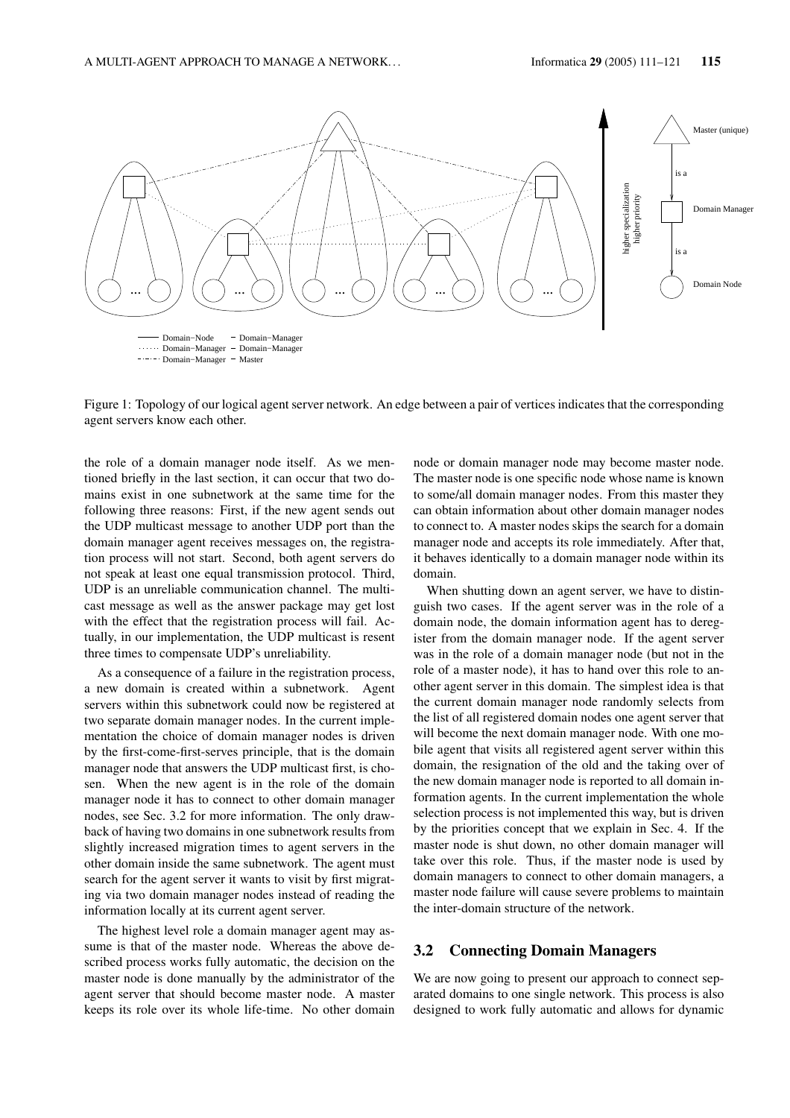

Figure 1: Topology of our logical agent server network. An edge between a pair of vertices indicates that the corresponding agent servers know each other.

the role of a domain manager node itself. As we mentioned briefly in the last section, it can occur that two domains exist in one subnetwork at the same time for the following three reasons: First, if the new agent sends out the UDP multicast message to another UDP port than the domain manager agent receives messages on, the registration process will not start. Second, both agent servers do not speak at least one equal transmission protocol. Third, UDP is an unreliable communication channel. The multicast message as well as the answer package may get lost with the effect that the registration process will fail. Actually, in our implementation, the UDP multicast is resent three times to compensate UDP's unreliability.

As a consequence of a failure in the registration process, a new domain is created within a subnetwork. Agent servers within this subnetwork could now be registered at two separate domain manager nodes. In the current implementation the choice of domain manager nodes is driven by the first-come-first-serves principle, that is the domain manager node that answers the UDP multicast first, is chosen. When the new agent is in the role of the domain manager node it has to connect to other domain manager nodes, see Sec. 3.2 for more information. The only drawback of having two domains in one subnetwork results from slightly increased migration times to agent servers in the other domain inside the same subnetwork. The agent must search for the agent server it wants to visit by first migrating via two domain manager nodes instead of reading the information locally at its current agent server.

The highest level role a domain manager agent may assume is that of the master node. Whereas the above described process works fully automatic, the decision on the master node is done manually by the administrator of the agent server that should become master node. A master keeps its role over its whole life-time. No other domain

node or domain manager node may become master node. The master node is one specific node whose name is known to some/all domain manager nodes. From this master they can obtain information about other domain manager nodes to connect to. A master nodes skips the search for a domain manager node and accepts its role immediately. After that, it behaves identically to a domain manager node within its domain.

When shutting down an agent server, we have to distinguish two cases. If the agent server was in the role of a domain node, the domain information agent has to deregister from the domain manager node. If the agent server was in the role of a domain manager node (but not in the role of a master node), it has to hand over this role to another agent server in this domain. The simplest idea is that the current domain manager node randomly selects from the list of all registered domain nodes one agent server that will become the next domain manager node. With one mobile agent that visits all registered agent server within this domain, the resignation of the old and the taking over of the new domain manager node is reported to all domain information agents. In the current implementation the whole selection process is not implemented this way, but is driven by the priorities concept that we explain in Sec. 4. If the master node is shut down, no other domain manager will take over this role. Thus, if the master node is used by domain managers to connect to other domain managers, a master node failure will cause severe problems to maintain the inter-domain structure of the network.

### 3.2 Connecting Domain Managers

We are now going to present our approach to connect separated domains to one single network. This process is also designed to work fully automatic and allows for dynamic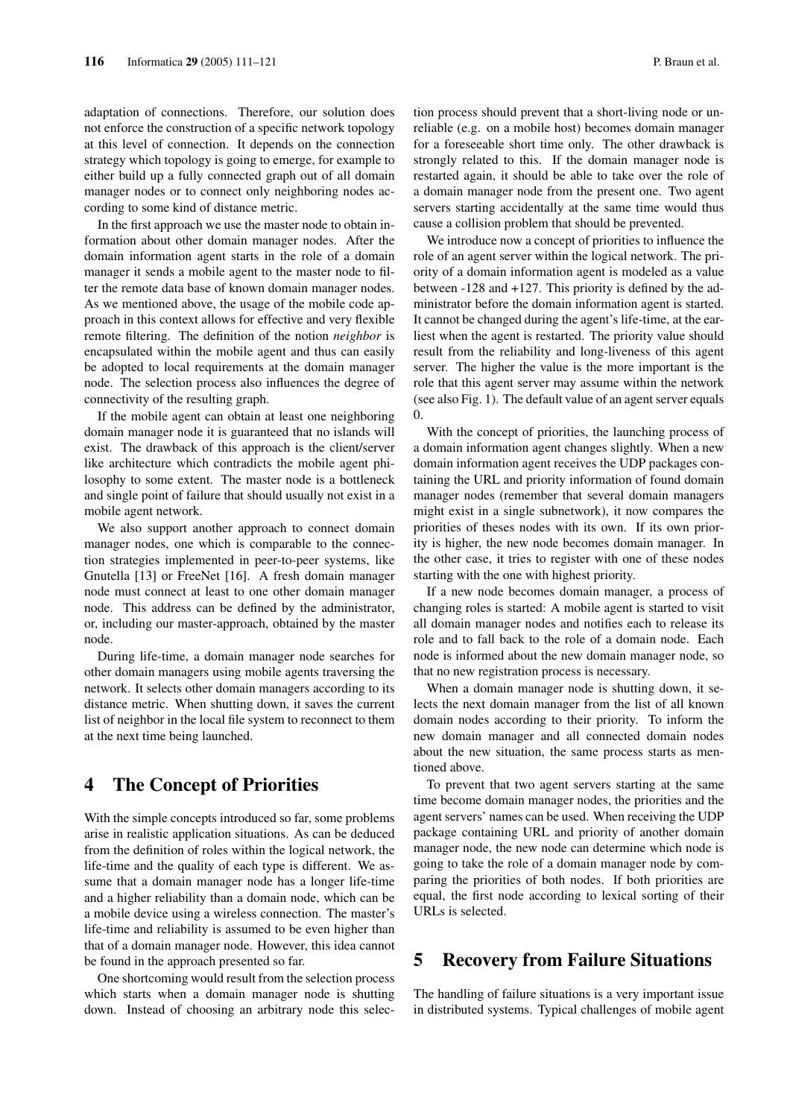adaptation of connections. Therefore, our solution does not enforce the construction of a specific network topology at this level of connection. It depends on the connection strategy which topology is going to emerge, for example to either build up a fully connected graph out of all domain manager nodes or to connect only neighboring nodes according to some kind of distance metric.

In the first approach we use the master node to obtain information about other domain manager nodes. After the domain information agent starts in the role of a domain manager it sends a mobile agent to the master node to filter the remote data base of known domain manager nodes. As we mentioned above, the usage of the mobile code approach in this context allows for effective and very flexible remote filtering. The definition of the notion *neighbor* is encapsulated within the mobile agent and thus can easily be adopted to local requirements at the domain manager node. The selection process also influences the degree of connectivity of the resulting graph.

If the mobile agent can obtain at least one neighboring domain manager node it is guaranteed that no islands will exist. The drawback of this approach is the client/server like architecture which contradicts the mobile agent philosophy to some extent. The master node is a bottleneck and single point of failure that should usually not exist in a mobile agent network.

We also support another approach to connect domain manager nodes, one which is comparable to the connection strategies implemented in peer-to-peer systems, like Gnutella [13] or FreeNet [16]. A fresh domain manager node must connect at least to one other domain manager node. This address can be defined by the administrator, or, including our master-approach, obtained by the master node.

During life-time, a domain manager node searches for other domain managers using mobile agents traversing the network. It selects other domain managers according to its distance metric. When shutting down, it saves the current list of neighbor in the local file system to reconnect to them at the next time being launched.

## 4 The Concept of Priorities

With the simple concepts introduced so far, some problems arise in realistic application situations. As can be deduced from the definition of roles within the logical network, the life-time and the quality of each type is different. We assume that a domain manager node has a longer life-time and a higher reliability than a domain node, which can be a mobile device using a wireless connection. The master's life-time and reliability is assumed to be even higher than that of a domain manager node. However, this idea cannot be found in the approach presented so far.

One shortcoming would result from the selection process which starts when a domain manager node is shutting down. Instead of choosing an arbitrary node this selection process should prevent that a short-living node or unreliable (e.g. on a mobile host) becomes domain manager for a foreseeable short time only. The other drawback is strongly related to this. If the domain manager node is restarted again, it should be able to take over the role of a domain manager node from the present one. Two agent servers starting accidentally at the same time would thus cause a collision problem that should be prevented.

We introduce now a concept of priorities to influence the role of an agent server within the logical network. The priority of a domain information agent is modeled as a value between -128 and +127. This priority is defined by the administrator before the domain information agent is started. It cannot be changed during the agent's life-time, at the earliest when the agent is restarted. The priority value should result from the reliability and long-liveness of this agent server. The higher the value is the more important is the role that this agent server may assume within the network (see also Fig. 1). The default value of an agent server equals 0.

With the concept of priorities, the launching process of a domain information agent changes slightly. When a new domain information agent receives the UDP packages containing the URL and priority information of found domain manager nodes (remember that several domain managers might exist in a single subnetwork), it now compares the priorities of theses nodes with its own. If its own priority is higher, the new node becomes domain manager. In the other case, it tries to register with one of these nodes starting with the one with highest priority.

If a new node becomes domain manager, a process of changing roles is started: A mobile agent is started to visit all domain manager nodes and notifies each to release its role and to fall back to the role of a domain node. Each node is informed about the new domain manager node, so that no new registration process is necessary.

When a domain manager node is shutting down, it selects the next domain manager from the list of all known domain nodes according to their priority. To inform the new domain manager and all connected domain nodes about the new situation, the same process starts as mentioned above.

To prevent that two agent servers starting at the same time become domain manager nodes, the priorities and the agent servers' names can be used. When receiving the UDP package containing URL and priority of another domain manager node, the new node can determine which node is going to take the role of a domain manager node by comparing the priorities of both nodes. If both priorities are equal, the first node according to lexical sorting of their URLs is selected.

### 5 Recovery from Failure Situations

The handling of failure situations is a very important issue in distributed systems. Typical challenges of mobile agent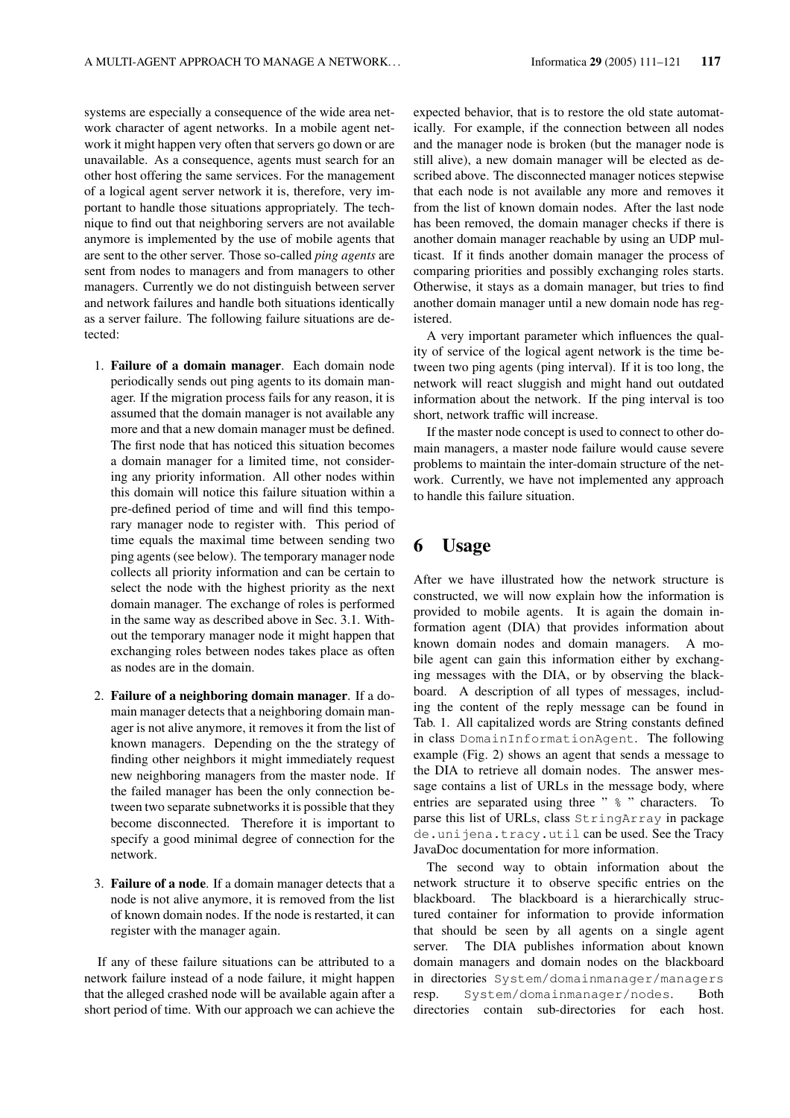systems are especially a consequence of the wide area network character of agent networks. In a mobile agent network it might happen very often that servers go down or are unavailable. As a consequence, agents must search for an other host offering the same services. For the management of a logical agent server network it is, therefore, very important to handle those situations appropriately. The technique to find out that neighboring servers are not available anymore is implemented by the use of mobile agents that are sent to the other server. Those so-called *ping agents* are sent from nodes to managers and from managers to other managers. Currently we do not distinguish between server and network failures and handle both situations identically as a server failure. The following failure situations are detected:

- 1. Failure of a domain manager. Each domain node periodically sends out ping agents to its domain manager. If the migration process fails for any reason, it is assumed that the domain manager is not available any more and that a new domain manager must be defined. The first node that has noticed this situation becomes a domain manager for a limited time, not considering any priority information. All other nodes within this domain will notice this failure situation within a pre-defined period of time and will find this temporary manager node to register with. This period of time equals the maximal time between sending two ping agents (see below). The temporary manager node collects all priority information and can be certain to select the node with the highest priority as the next domain manager. The exchange of roles is performed in the same way as described above in Sec. 3.1. Without the temporary manager node it might happen that exchanging roles between nodes takes place as often as nodes are in the domain.
- 2. Failure of a neighboring domain manager. If a domain manager detects that a neighboring domain manager is not alive anymore, it removes it from the list of known managers. Depending on the the strategy of finding other neighbors it might immediately request new neighboring managers from the master node. If the failed manager has been the only connection between two separate subnetworks it is possible that they become disconnected. Therefore it is important to specify a good minimal degree of connection for the network.
- 3. Failure of a node. If a domain manager detects that a node is not alive anymore, it is removed from the list of known domain nodes. If the node is restarted, it can register with the manager again.

If any of these failure situations can be attributed to a network failure instead of a node failure, it might happen that the alleged crashed node will be available again after a short period of time. With our approach we can achieve the

expected behavior, that is to restore the old state automatically. For example, if the connection between all nodes and the manager node is broken (but the manager node is still alive), a new domain manager will be elected as described above. The disconnected manager notices stepwise that each node is not available any more and removes it from the list of known domain nodes. After the last node has been removed, the domain manager checks if there is another domain manager reachable by using an UDP multicast. If it finds another domain manager the process of comparing priorities and possibly exchanging roles starts. Otherwise, it stays as a domain manager, but tries to find another domain manager until a new domain node has registered.

A very important parameter which influences the quality of service of the logical agent network is the time between two ping agents (ping interval). If it is too long, the network will react sluggish and might hand out outdated information about the network. If the ping interval is too short, network traffic will increase.

If the master node concept is used to connect to other domain managers, a master node failure would cause severe problems to maintain the inter-domain structure of the network. Currently, we have not implemented any approach to handle this failure situation.

## 6 Usage

After we have illustrated how the network structure is constructed, we will now explain how the information is provided to mobile agents. It is again the domain information agent (DIA) that provides information about known domain nodes and domain managers. A mobile agent can gain this information either by exchanging messages with the DIA, or by observing the blackboard. A description of all types of messages, including the content of the reply message can be found in Tab. 1. All capitalized words are String constants defined in class DomainInformationAgent. The following example (Fig. 2) shows an agent that sends a message to the DIA to retrieve all domain nodes. The answer message contains a list of URLs in the message body, where entries are separated using three "  $\frac{1}{6}$  " characters. To parse this list of URLs, class StringArray in package de.unijena.tracy.util can be used. See the Tracy JavaDoc documentation for more information.

The second way to obtain information about the network structure it to observe specific entries on the blackboard. The blackboard is a hierarchically structured container for information to provide information that should be seen by all agents on a single agent server. The DIA publishes information about known domain managers and domain nodes on the blackboard in directories System/domainmanager/managers resp. System/domainmanager/nodes. Both directories contain sub-directories for each host.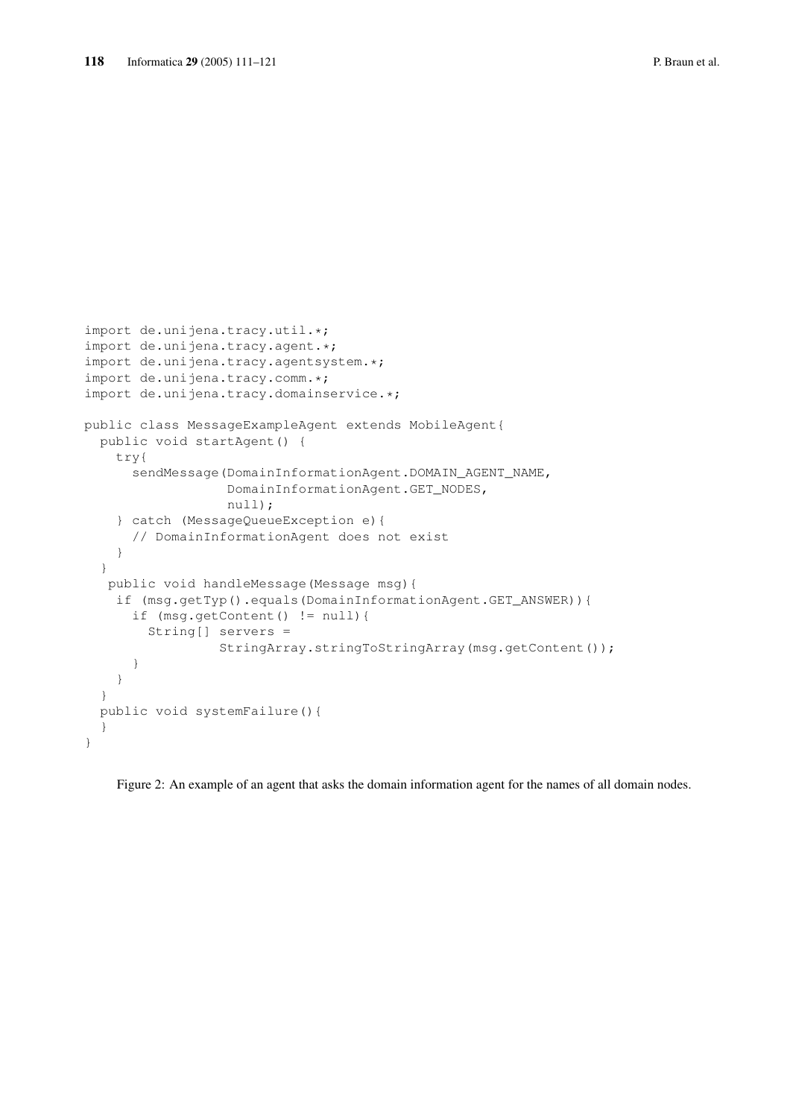```
import de.unijena.tracy.util.*;
import de.unijena.tracy.agent.*;
import de.unijena.tracy.agentsystem.*;
import de.unijena.tracy.comm.*;
import de.unijena.tracy.domainservice.*;
public class MessageExampleAgent extends MobileAgent{
 public void startAgent() {
   try{
      sendMessage(DomainInformationAgent.DOMAIN_AGENT_NAME,
                  DomainInformationAgent.GET_NODES,
                  null);
    } catch (MessageQueueException e){
      // DomainInformationAgent does not exist
    }
  }
  public void handleMessage(Message msg){
    if (msg.getTyp().equals(DomainInformationAgent.GET_ANSWER)){
      if (msg.getContent() != null){
        String[] servers =
                 StringArray.stringToStringArray(msg.getContent());
      }
    }
  }
 public void systemFailure(){
  }
}
```
Figure 2: An example of an agent that asks the domain information agent for the names of all domain nodes.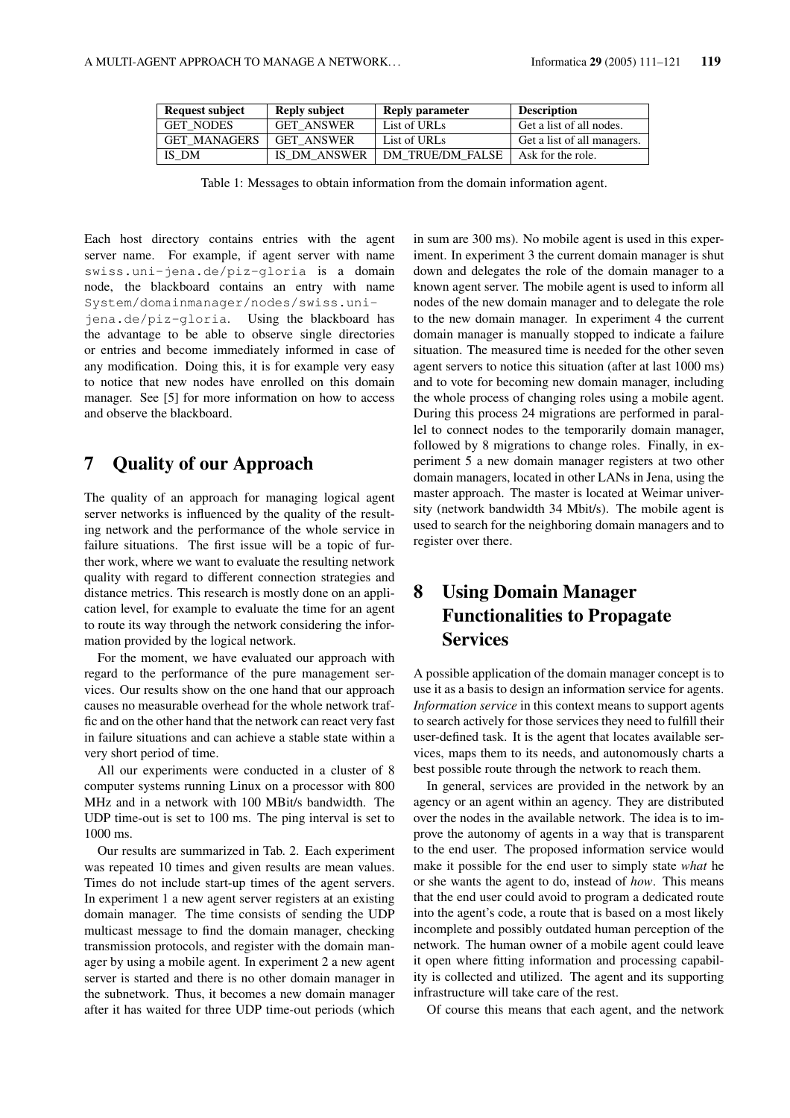| <b>Request subject</b> | Reply subject     | <b>Reply parameter</b>  | <b>Description</b>          |
|------------------------|-------------------|-------------------------|-----------------------------|
| <b>GET NODES</b>       | <b>GET ANSWER</b> | List of URLs            | Get a list of all nodes.    |
| <b>GET MANAGERS</b>    | <b>GET ANSWER</b> | List of URLs            | Get a list of all managers. |
| IS DM                  | IS DM ANSWER      | <b>DM TRUE/DM FALSE</b> | Ask for the role.           |

Table 1: Messages to obtain information from the domain information agent.

Each host directory contains entries with the agent server name. For example, if agent server with name swiss.uni-jena.de/piz-gloria is a domain node, the blackboard contains an entry with name System/domainmanager/nodes/swiss.uni-

jena.de/piz-gloria. Using the blackboard has the advantage to be able to observe single directories or entries and become immediately informed in case of any modification. Doing this, it is for example very easy to notice that new nodes have enrolled on this domain manager. See [5] for more information on how to access and observe the blackboard.

## 7 Quality of our Approach

The quality of an approach for managing logical agent server networks is influenced by the quality of the resulting network and the performance of the whole service in failure situations. The first issue will be a topic of further work, where we want to evaluate the resulting network quality with regard to different connection strategies and distance metrics. This research is mostly done on an application level, for example to evaluate the time for an agent to route its way through the network considering the information provided by the logical network.

For the moment, we have evaluated our approach with regard to the performance of the pure management services. Our results show on the one hand that our approach causes no measurable overhead for the whole network traffic and on the other hand that the network can react very fast in failure situations and can achieve a stable state within a very short period of time.

All our experiments were conducted in a cluster of 8 computer systems running Linux on a processor with 800 MHz and in a network with 100 MBit/s bandwidth. The UDP time-out is set to 100 ms. The ping interval is set to 1000 ms.

Our results are summarized in Tab. 2. Each experiment was repeated 10 times and given results are mean values. Times do not include start-up times of the agent servers. In experiment 1 a new agent server registers at an existing domain manager. The time consists of sending the UDP multicast message to find the domain manager, checking transmission protocols, and register with the domain manager by using a mobile agent. In experiment 2 a new agent server is started and there is no other domain manager in the subnetwork. Thus, it becomes a new domain manager after it has waited for three UDP time-out periods (which

in sum are 300 ms). No mobile agent is used in this experiment. In experiment 3 the current domain manager is shut down and delegates the role of the domain manager to a known agent server. The mobile agent is used to inform all nodes of the new domain manager and to delegate the role to the new domain manager. In experiment 4 the current domain manager is manually stopped to indicate a failure situation. The measured time is needed for the other seven agent servers to notice this situation (after at last 1000 ms) and to vote for becoming new domain manager, including the whole process of changing roles using a mobile agent. During this process 24 migrations are performed in parallel to connect nodes to the temporarily domain manager, followed by 8 migrations to change roles. Finally, in experiment 5 a new domain manager registers at two other domain managers, located in other LANs in Jena, using the master approach. The master is located at Weimar university (network bandwidth 34 Mbit/s). The mobile agent is used to search for the neighboring domain managers and to register over there.

# 8 Using Domain Manager Functionalities to Propagate **Services**

A possible application of the domain manager concept is to use it as a basis to design an information service for agents. *Information service* in this context means to support agents to search actively for those services they need to fulfill their user-defined task. It is the agent that locates available services, maps them to its needs, and autonomously charts a best possible route through the network to reach them.

In general, services are provided in the network by an agency or an agent within an agency. They are distributed over the nodes in the available network. The idea is to improve the autonomy of agents in a way that is transparent to the end user. The proposed information service would make it possible for the end user to simply state *what* he or she wants the agent to do, instead of *how*. This means that the end user could avoid to program a dedicated route into the agent's code, a route that is based on a most likely incomplete and possibly outdated human perception of the network. The human owner of a mobile agent could leave it open where fitting information and processing capability is collected and utilized. The agent and its supporting infrastructure will take care of the rest.

Of course this means that each agent, and the network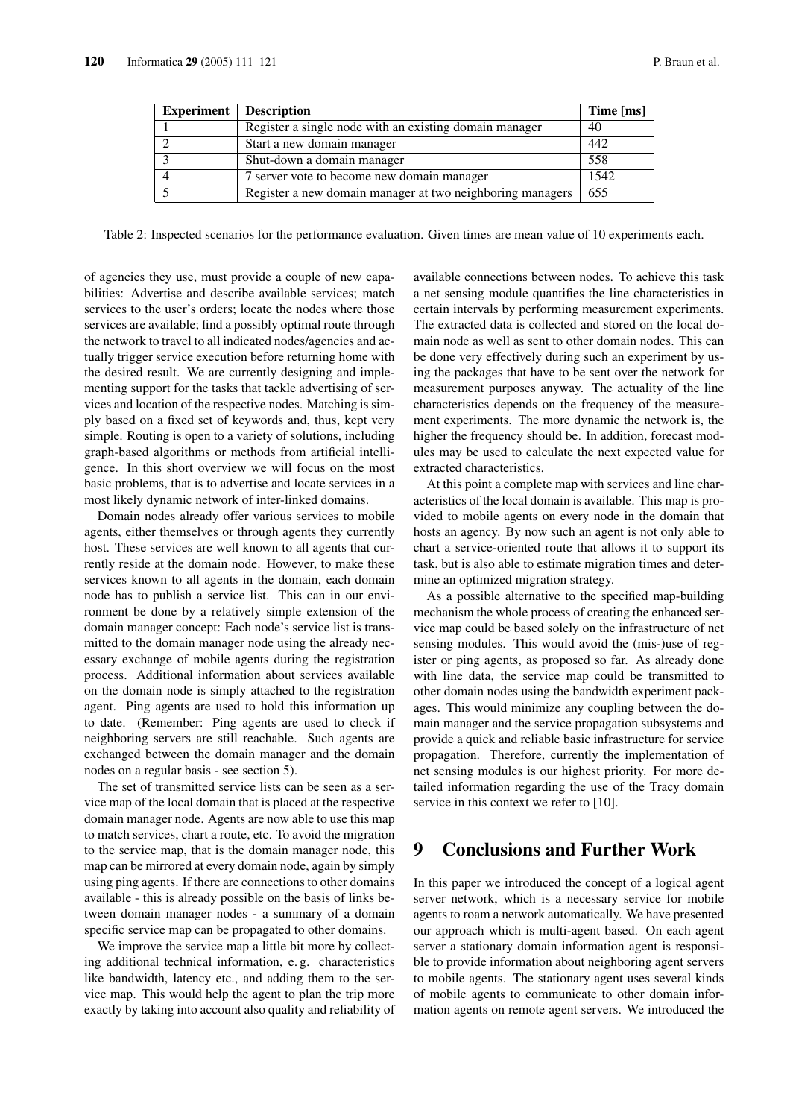| <b>Experiment</b> | Description                                               | Time [ms] |
|-------------------|-----------------------------------------------------------|-----------|
|                   | Register a single node with an existing domain manager    | 40        |
|                   | Start a new domain manager                                | 442       |
|                   | Shut-down a domain manager                                | 558       |
|                   | 7 server vote to become new domain manager                | 1542      |
|                   | Register a new domain manager at two neighboring managers | 655       |

Table 2: Inspected scenarios for the performance evaluation. Given times are mean value of 10 experiments each.

of agencies they use, must provide a couple of new capabilities: Advertise and describe available services; match services to the user's orders; locate the nodes where those services are available; find a possibly optimal route through the network to travel to all indicated nodes/agencies and actually trigger service execution before returning home with the desired result. We are currently designing and implementing support for the tasks that tackle advertising of services and location of the respective nodes. Matching is simply based on a fixed set of keywords and, thus, kept very simple. Routing is open to a variety of solutions, including graph-based algorithms or methods from artificial intelligence. In this short overview we will focus on the most basic problems, that is to advertise and locate services in a most likely dynamic network of inter-linked domains.

Domain nodes already offer various services to mobile agents, either themselves or through agents they currently host. These services are well known to all agents that currently reside at the domain node. However, to make these services known to all agents in the domain, each domain node has to publish a service list. This can in our environment be done by a relatively simple extension of the domain manager concept: Each node's service list is transmitted to the domain manager node using the already necessary exchange of mobile agents during the registration process. Additional information about services available on the domain node is simply attached to the registration agent. Ping agents are used to hold this information up to date. (Remember: Ping agents are used to check if neighboring servers are still reachable. Such agents are exchanged between the domain manager and the domain nodes on a regular basis - see section 5).

The set of transmitted service lists can be seen as a service map of the local domain that is placed at the respective domain manager node. Agents are now able to use this map to match services, chart a route, etc. To avoid the migration to the service map, that is the domain manager node, this map can be mirrored at every domain node, again by simply using ping agents. If there are connections to other domains available - this is already possible on the basis of links between domain manager nodes - a summary of a domain specific service map can be propagated to other domains.

We improve the service map a little bit more by collecting additional technical information, e. g. characteristics like bandwidth, latency etc., and adding them to the service map. This would help the agent to plan the trip more exactly by taking into account also quality and reliability of available connections between nodes. To achieve this task a net sensing module quantifies the line characteristics in certain intervals by performing measurement experiments. The extracted data is collected and stored on the local domain node as well as sent to other domain nodes. This can be done very effectively during such an experiment by using the packages that have to be sent over the network for measurement purposes anyway. The actuality of the line characteristics depends on the frequency of the measurement experiments. The more dynamic the network is, the higher the frequency should be. In addition, forecast modules may be used to calculate the next expected value for extracted characteristics.

At this point a complete map with services and line characteristics of the local domain is available. This map is provided to mobile agents on every node in the domain that hosts an agency. By now such an agent is not only able to chart a service-oriented route that allows it to support its task, but is also able to estimate migration times and determine an optimized migration strategy.

As a possible alternative to the specified map-building mechanism the whole process of creating the enhanced service map could be based solely on the infrastructure of net sensing modules. This would avoid the (mis-)use of register or ping agents, as proposed so far. As already done with line data, the service map could be transmitted to other domain nodes using the bandwidth experiment packages. This would minimize any coupling between the domain manager and the service propagation subsystems and provide a quick and reliable basic infrastructure for service propagation. Therefore, currently the implementation of net sensing modules is our highest priority. For more detailed information regarding the use of the Tracy domain service in this context we refer to [10].

## 9 Conclusions and Further Work

In this paper we introduced the concept of a logical agent server network, which is a necessary service for mobile agents to roam a network automatically. We have presented our approach which is multi-agent based. On each agent server a stationary domain information agent is responsible to provide information about neighboring agent servers to mobile agents. The stationary agent uses several kinds of mobile agents to communicate to other domain information agents on remote agent servers. We introduced the